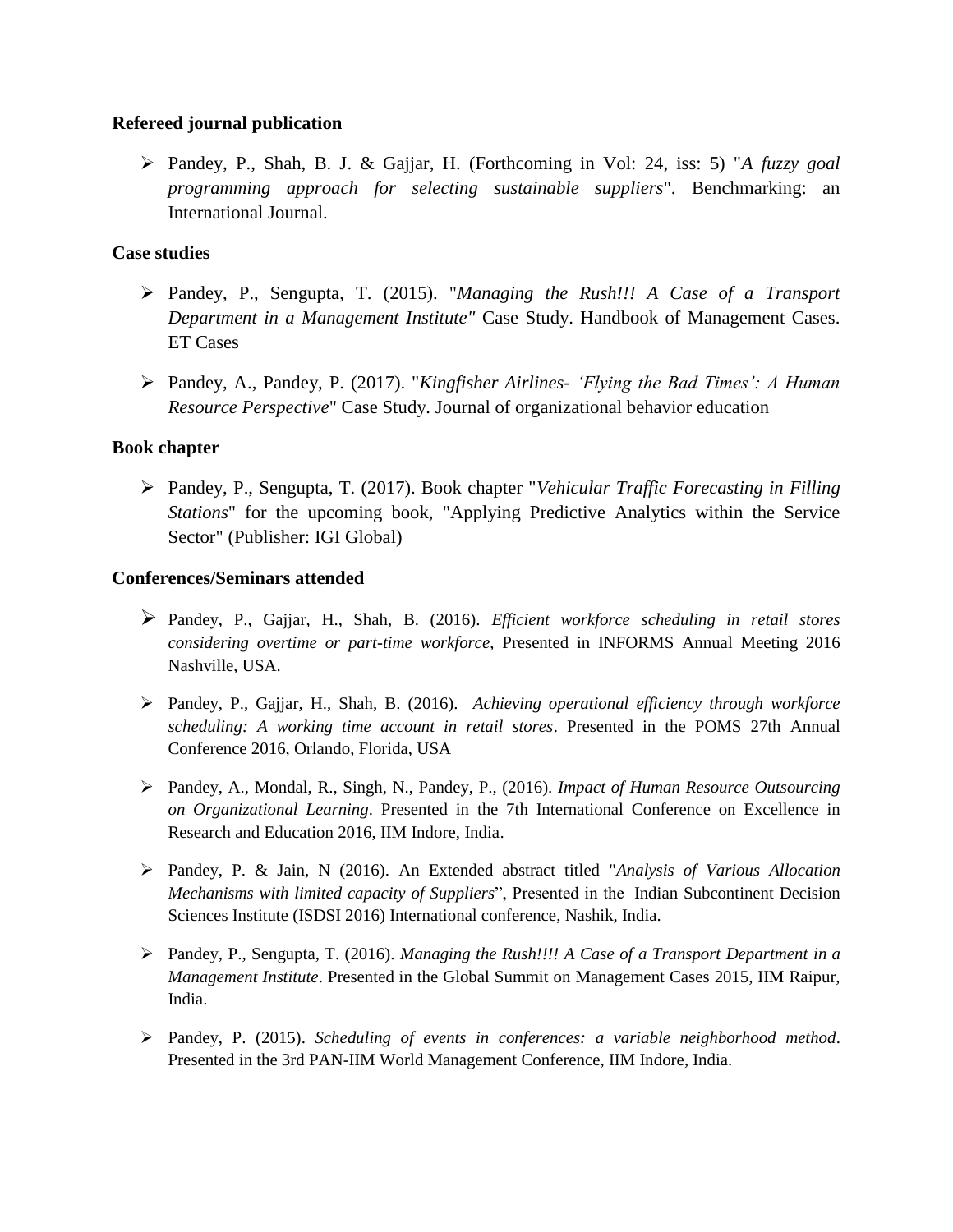## **Refereed journal publication**

 Pandey, P., Shah, B. J. & Gajjar, H. (Forthcoming in Vol: 24, iss: 5) "*A fuzzy goal programming approach for selecting sustainable suppliers*". Benchmarking: an International Journal.

## **Case studies**

- Pandey, P., Sengupta, T. (2015). "*Managing the Rush!!! A Case of a Transport Department in a Management Institute"* Case Study. Handbook of Management Cases. ET Cases
- Pandey, A., Pandey, P. (2017). "*Kingfisher Airlines- 'Flying the Bad Times': A Human Resource Perspective*" Case Study. Journal of organizational behavior education

## **Book chapter**

 Pandey, P., Sengupta, T. (2017). Book chapter "*Vehicular Traffic Forecasting in Filling Stations*" for the upcoming book, "Applying Predictive Analytics within the Service Sector" (Publisher: IGI Global)

## **Conferences/Seminars attended**

- Pandey, P., Gajjar, H., Shah, B. (2016). *Efficient workforce scheduling in retail stores considering overtime or part-time workforce*, Presented in INFORMS Annual Meeting 2016 Nashville, USA.
- Pandey, P., Gajjar, H., Shah, B. (2016). *Achieving operational efficiency through workforce scheduling: A working time account in retail stores*. Presented in the POMS 27th Annual Conference 2016, Orlando, Florida, USA
- Pandey, A., Mondal, R., Singh, N., Pandey, P., (2016). *Impact of Human Resource Outsourcing on Organizational Learning*. Presented in the 7th International Conference on Excellence in Research and Education 2016, IIM Indore, India.
- Pandey, P. & Jain, N (2016). An Extended abstract titled "*Analysis of Various Allocation Mechanisms with limited capacity of Suppliers*", Presented in the Indian Subcontinent Decision Sciences Institute (ISDSI 2016) International conference, Nashik, India.
- Pandey, P., Sengupta, T. (2016). *Managing the Rush!!!! A Case of a Transport Department in a Management Institute*. Presented in the Global Summit on Management Cases 2015, IIM Raipur, India.
- Pandey, P. (2015). *Scheduling of events in conferences: a variable neighborhood method*. Presented in the 3rd PAN-IIM World Management Conference, IIM Indore, India.